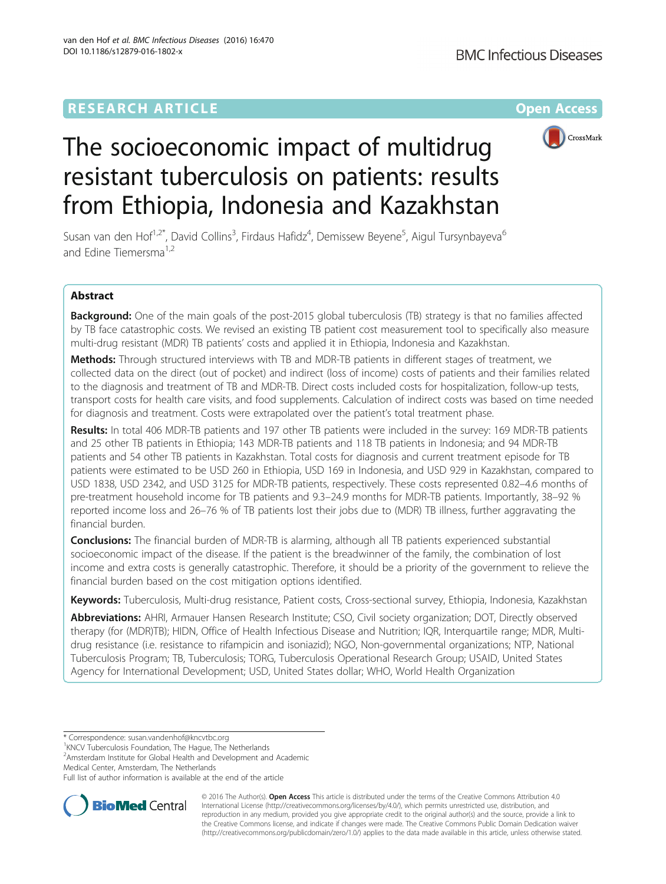# **RESEARCH ARTICLE Example 2014 12:30 The Company Access** (RESEARCH ARTICLE



# The socioeconomic impact of multidrug resistant tuberculosis on patients: results from Ethiopia, Indonesia and Kazakhstan

Susan van den Hof<sup>1,2\*</sup>, David Collins<sup>3</sup>, Firdaus Hafidz<sup>4</sup>, Demissew Beyene<sup>5</sup>, Aigul Tursynbayeva<sup>6</sup> and Edine Tiemersma<sup>1,2</sup>

# Abstract

Background: One of the main goals of the post-2015 global tuberculosis (TB) strategy is that no families affected by TB face catastrophic costs. We revised an existing TB patient cost measurement tool to specifically also measure multi-drug resistant (MDR) TB patients' costs and applied it in Ethiopia, Indonesia and Kazakhstan.

Methods: Through structured interviews with TB and MDR-TB patients in different stages of treatment, we collected data on the direct (out of pocket) and indirect (loss of income) costs of patients and their families related to the diagnosis and treatment of TB and MDR-TB. Direct costs included costs for hospitalization, follow-up tests, transport costs for health care visits, and food supplements. Calculation of indirect costs was based on time needed for diagnosis and treatment. Costs were extrapolated over the patient's total treatment phase.

Results: In total 406 MDR-TB patients and 197 other TB patients were included in the survey: 169 MDR-TB patients and 25 other TB patients in Ethiopia; 143 MDR-TB patients and 118 TB patients in Indonesia; and 94 MDR-TB patients and 54 other TB patients in Kazakhstan. Total costs for diagnosis and current treatment episode for TB patients were estimated to be USD 260 in Ethiopia, USD 169 in Indonesia, and USD 929 in Kazakhstan, compared to USD 1838, USD 2342, and USD 3125 for MDR-TB patients, respectively. These costs represented 0.82–4.6 months of pre-treatment household income for TB patients and 9.3–24.9 months for MDR-TB patients. Importantly, 38–92 % reported income loss and 26–76 % of TB patients lost their jobs due to (MDR) TB illness, further aggravating the financial burden.

**Conclusions:** The financial burden of MDR-TB is alarming, although all TB patients experienced substantial socioeconomic impact of the disease. If the patient is the breadwinner of the family, the combination of lost income and extra costs is generally catastrophic. Therefore, it should be a priority of the government to relieve the financial burden based on the cost mitigation options identified.

Keywords: Tuberculosis, Multi-drug resistance, Patient costs, Cross-sectional survey, Ethiopia, Indonesia, Kazakhstan

Abbreviations: AHRI, Armauer Hansen Research Institute; CSO, Civil society organization; DOT, Directly observed therapy (for (MDR)TB); HIDN, Office of Health Infectious Disease and Nutrition; IQR, Interquartile range; MDR, Multidrug resistance (i.e. resistance to rifampicin and isoniazid); NGO, Non-governmental organizations; NTP, National Tuberculosis Program; TB, Tuberculosis; TORG, Tuberculosis Operational Research Group; USAID, United States Agency for International Development; USD, United States dollar; WHO, World Health Organization

\* Correspondence: [susan.vandenhof@kncvtbc.org](mailto:susan.vandenhof@kncvtbc.org) <sup>1</sup>

<sup>1</sup>KNCV Tuberculosis Foundation, The Hague, The Netherlands

<sup>2</sup> Amsterdam Institute for Global Health and Development and Academic Medical Center, Amsterdam, The Netherlands

Full list of author information is available at the end of the article



© 2016 The Author(s). Open Access This article is distributed under the terms of the Creative Commons Attribution 4.0 International License [\(http://creativecommons.org/licenses/by/4.0/](http://creativecommons.org/licenses/by/4.0/)), which permits unrestricted use, distribution, and reproduction in any medium, provided you give appropriate credit to the original author(s) and the source, provide a link to the Creative Commons license, and indicate if changes were made. The Creative Commons Public Domain Dedication waiver [\(http://creativecommons.org/publicdomain/zero/1.0/](http://creativecommons.org/publicdomain/zero/1.0/)) applies to the data made available in this article, unless otherwise stated.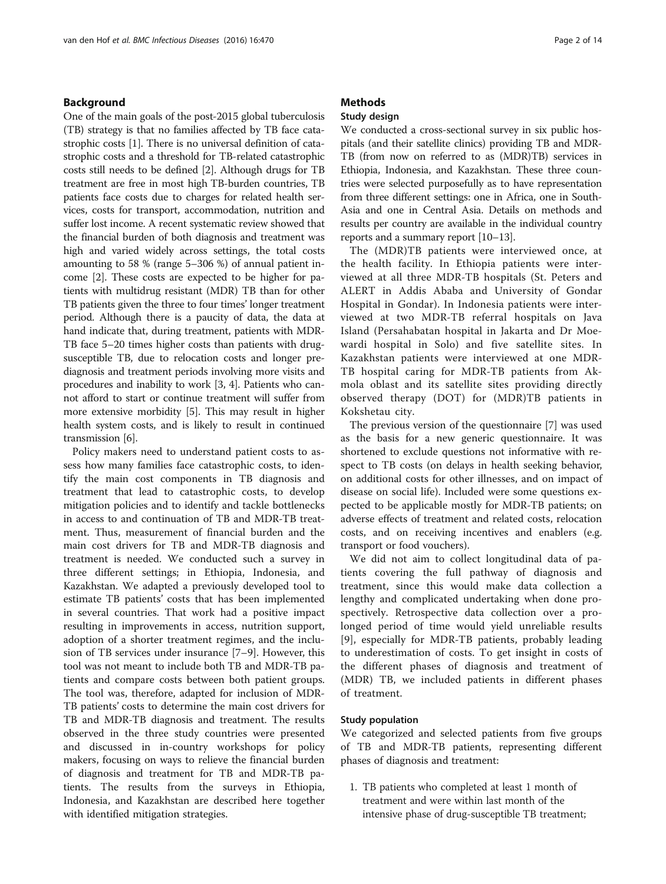## Background

One of the main goals of the post-2015 global tuberculosis (TB) strategy is that no families affected by TB face catastrophic costs [\[1\]](#page-12-0). There is no universal definition of catastrophic costs and a threshold for TB-related catastrophic costs still needs to be defined [[2](#page-12-0)]. Although drugs for TB treatment are free in most high TB-burden countries, TB patients face costs due to charges for related health services, costs for transport, accommodation, nutrition and suffer lost income. A recent systematic review showed that the financial burden of both diagnosis and treatment was high and varied widely across settings, the total costs amounting to 58 % (range 5–306 %) of annual patient income [[2](#page-12-0)]. These costs are expected to be higher for patients with multidrug resistant (MDR) TB than for other TB patients given the three to four times' longer treatment period. Although there is a paucity of data, the data at hand indicate that, during treatment, patients with MDR-TB face 5–20 times higher costs than patients with drugsusceptible TB, due to relocation costs and longer prediagnosis and treatment periods involving more visits and procedures and inability to work [[3, 4\]](#page-12-0). Patients who cannot afford to start or continue treatment will suffer from more extensive morbidity [\[5](#page-12-0)]. This may result in higher health system costs, and is likely to result in continued transmission [\[6](#page-12-0)].

Policy makers need to understand patient costs to assess how many families face catastrophic costs, to identify the main cost components in TB diagnosis and treatment that lead to catastrophic costs, to develop mitigation policies and to identify and tackle bottlenecks in access to and continuation of TB and MDR-TB treatment. Thus, measurement of financial burden and the main cost drivers for TB and MDR-TB diagnosis and treatment is needed. We conducted such a survey in three different settings; in Ethiopia, Indonesia, and Kazakhstan. We adapted a previously developed tool to estimate TB patients' costs that has been implemented in several countries. That work had a positive impact resulting in improvements in access, nutrition support, adoption of a shorter treatment regimes, and the inclusion of TB services under insurance [[7](#page-12-0)–[9](#page-12-0)]. However, this tool was not meant to include both TB and MDR-TB patients and compare costs between both patient groups. The tool was, therefore, adapted for inclusion of MDR-TB patients' costs to determine the main cost drivers for TB and MDR-TB diagnosis and treatment. The results observed in the three study countries were presented and discussed in in-country workshops for policy makers, focusing on ways to relieve the financial burden of diagnosis and treatment for TB and MDR-TB patients. The results from the surveys in Ethiopia, Indonesia, and Kazakhstan are described here together with identified mitigation strategies.

# **Methods**

### Study design

We conducted a cross-sectional survey in six public hospitals (and their satellite clinics) providing TB and MDR-TB (from now on referred to as (MDR)TB) services in Ethiopia, Indonesia, and Kazakhstan. These three countries were selected purposefully as to have representation from three different settings: one in Africa, one in South-Asia and one in Central Asia. Details on methods and results per country are available in the individual country reports and a summary report [[10](#page-12-0)–[13\]](#page-12-0).

The (MDR)TB patients were interviewed once, at the health facility. In Ethiopia patients were interviewed at all three MDR-TB hospitals (St. Peters and ALERT in Addis Ababa and University of Gondar Hospital in Gondar). In Indonesia patients were interviewed at two MDR-TB referral hospitals on Java Island (Persahabatan hospital in Jakarta and Dr Moewardi hospital in Solo) and five satellite sites. In Kazakhstan patients were interviewed at one MDR-TB hospital caring for MDR-TB patients from Akmola oblast and its satellite sites providing directly observed therapy (DOT) for (MDR)TB patients in Kokshetau city.

The previous version of the questionnaire [[7](#page-12-0)] was used as the basis for a new generic questionnaire. It was shortened to exclude questions not informative with respect to TB costs (on delays in health seeking behavior, on additional costs for other illnesses, and on impact of disease on social life). Included were some questions expected to be applicable mostly for MDR-TB patients; on adverse effects of treatment and related costs, relocation costs, and on receiving incentives and enablers (e.g. transport or food vouchers).

We did not aim to collect longitudinal data of patients covering the full pathway of diagnosis and treatment, since this would make data collection a lengthy and complicated undertaking when done prospectively. Retrospective data collection over a prolonged period of time would yield unreliable results [[9\]](#page-12-0), especially for MDR-TB patients, probably leading to underestimation of costs. To get insight in costs of the different phases of diagnosis and treatment of (MDR) TB, we included patients in different phases of treatment.

#### Study population

We categorized and selected patients from five groups of TB and MDR-TB patients, representing different phases of diagnosis and treatment:

1. TB patients who completed at least 1 month of treatment and were within last month of the intensive phase of drug-susceptible TB treatment;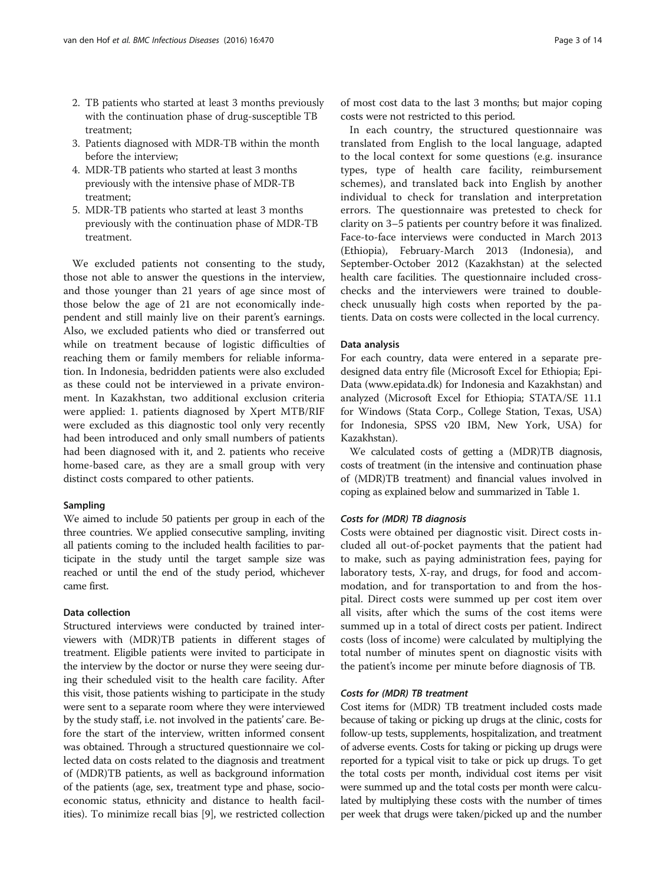- 2. TB patients who started at least 3 months previously with the continuation phase of drug-susceptible TB treatment;
- 3. Patients diagnosed with MDR-TB within the month before the interview;
- 4. MDR-TB patients who started at least 3 months previously with the intensive phase of MDR-TB treatment;
- 5. MDR-TB patients who started at least 3 months previously with the continuation phase of MDR-TB treatment.

We excluded patients not consenting to the study, those not able to answer the questions in the interview, and those younger than 21 years of age since most of those below the age of 21 are not economically independent and still mainly live on their parent's earnings. Also, we excluded patients who died or transferred out while on treatment because of logistic difficulties of reaching them or family members for reliable information. In Indonesia, bedridden patients were also excluded as these could not be interviewed in a private environment. In Kazakhstan, two additional exclusion criteria were applied: 1. patients diagnosed by Xpert MTB/RIF were excluded as this diagnostic tool only very recently had been introduced and only small numbers of patients had been diagnosed with it, and 2. patients who receive home-based care, as they are a small group with very distinct costs compared to other patients.

#### Sampling

We aimed to include 50 patients per group in each of the three countries. We applied consecutive sampling, inviting all patients coming to the included health facilities to participate in the study until the target sample size was reached or until the end of the study period, whichever came first.

#### Data collection

Structured interviews were conducted by trained interviewers with (MDR)TB patients in different stages of treatment. Eligible patients were invited to participate in the interview by the doctor or nurse they were seeing during their scheduled visit to the health care facility. After this visit, those patients wishing to participate in the study were sent to a separate room where they were interviewed by the study staff, i.e. not involved in the patients' care. Before the start of the interview, written informed consent was obtained. Through a structured questionnaire we collected data on costs related to the diagnosis and treatment of (MDR)TB patients, as well as background information of the patients (age, sex, treatment type and phase, socioeconomic status, ethnicity and distance to health facilities). To minimize recall bias [\[9](#page-12-0)], we restricted collection

of most cost data to the last 3 months; but major coping costs were not restricted to this period.

In each country, the structured questionnaire was translated from English to the local language, adapted to the local context for some questions (e.g. insurance types, type of health care facility, reimbursement schemes), and translated back into English by another individual to check for translation and interpretation errors. The questionnaire was pretested to check for clarity on 3–5 patients per country before it was finalized. Face-to-face interviews were conducted in March 2013 (Ethiopia), February-March 2013 (Indonesia), and September-October 2012 (Kazakhstan) at the selected health care facilities. The questionnaire included crosschecks and the interviewers were trained to doublecheck unusually high costs when reported by the patients. Data on costs were collected in the local currency.

#### Data analysis

For each country, data were entered in a separate predesigned data entry file (Microsoft Excel for Ethiopia; Epi-Data [\(www.epidata.dk](http://www.epidata.dk)) for Indonesia and Kazakhstan) and analyzed (Microsoft Excel for Ethiopia; STATA/SE 11.1 for Windows (Stata Corp., College Station, Texas, USA) for Indonesia, SPSS v20 IBM, New York, USA) for Kazakhstan).

We calculated costs of getting a (MDR)TB diagnosis, costs of treatment (in the intensive and continuation phase of (MDR)TB treatment) and financial values involved in coping as explained below and summarized in Table [1](#page-3-0).

## Costs for (MDR) TB diagnosis

Costs were obtained per diagnostic visit. Direct costs included all out-of-pocket payments that the patient had to make, such as paying administration fees, paying for laboratory tests, X-ray, and drugs, for food and accommodation, and for transportation to and from the hospital. Direct costs were summed up per cost item over all visits, after which the sums of the cost items were summed up in a total of direct costs per patient. Indirect costs (loss of income) were calculated by multiplying the total number of minutes spent on diagnostic visits with the patient's income per minute before diagnosis of TB.

#### Costs for (MDR) TB treatment

Cost items for (MDR) TB treatment included costs made because of taking or picking up drugs at the clinic, costs for follow-up tests, supplements, hospitalization, and treatment of adverse events. Costs for taking or picking up drugs were reported for a typical visit to take or pick up drugs. To get the total costs per month, individual cost items per visit were summed up and the total costs per month were calculated by multiplying these costs with the number of times per week that drugs were taken/picked up and the number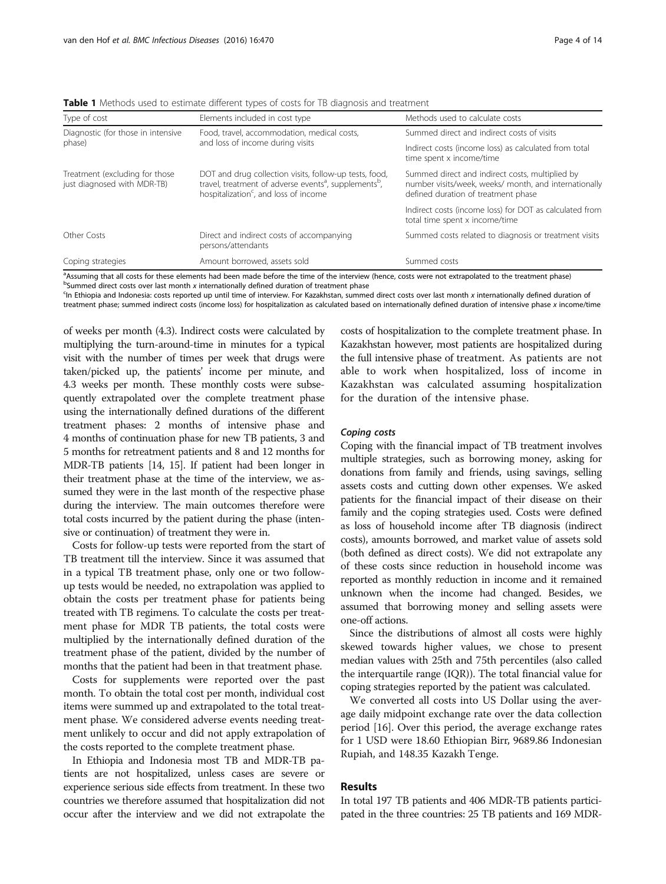| Type of cost                                                  | Elements included in cost type                                                                                                                                                               | Methods used to calculate costs                                                                                                                 |
|---------------------------------------------------------------|----------------------------------------------------------------------------------------------------------------------------------------------------------------------------------------------|-------------------------------------------------------------------------------------------------------------------------------------------------|
| Diagnostic (for those in intensive<br>phase)                  | Food, travel, accommodation, medical costs,                                                                                                                                                  | Summed direct and indirect costs of visits                                                                                                      |
|                                                               | and loss of income during visits                                                                                                                                                             | Indirect costs (income loss) as calculated from total<br>time spent x income/time                                                               |
| Treatment (excluding for those<br>just diagnosed with MDR-TB) | DOT and drug collection visits, follow-up tests, food,<br>travel, treatment of adverse events <sup>a</sup> , supplements <sup>b</sup> ,<br>hospitalization <sup>c</sup> , and loss of income | Summed direct and indirect costs, multiplied by<br>number visits/week, weeks/ month, and internationally<br>defined duration of treatment phase |
|                                                               |                                                                                                                                                                                              | Indirect costs (income loss) for DOT as calculated from<br>total time spent x income/time                                                       |
| Other Costs                                                   | Direct and indirect costs of accompanying<br>persons/attendants                                                                                                                              | Summed costs related to diagnosis or treatment visits                                                                                           |
| Coping strategies                                             | Amount borrowed, assets sold                                                                                                                                                                 | Summed costs                                                                                                                                    |

<span id="page-3-0"></span>Table 1 Methods used to estimate different types of costs for TB diagnosis and treatment

<sup>a</sup> Assuming that all costs for these elements had been made before the time of the interview (hence, costs were not extrapolated to the treatment phase) b<br>Summed direct costs over last month x internationally defined duration of treatment phase<br>Superioria and indepensive costs reported up until time of intensiew. For Kazakhstan, summer

<sup>c</sup>In Ethiopia and Indonesia: costs reported up until time of interview. For Kazakhstan, summed direct costs over last month x internationally defined duration of treatment phase; summed indirect costs (income loss) for hospitalization as calculated based on internationally defined duration of intensive phase x income/time

of weeks per month (4.3). Indirect costs were calculated by multiplying the turn-around-time in minutes for a typical visit with the number of times per week that drugs were taken/picked up, the patients' income per minute, and 4.3 weeks per month. These monthly costs were subsequently extrapolated over the complete treatment phase using the internationally defined durations of the different treatment phases: 2 months of intensive phase and 4 months of continuation phase for new TB patients, 3 and 5 months for retreatment patients and 8 and 12 months for MDR-TB patients [[14](#page-12-0), [15\]](#page-12-0). If patient had been longer in their treatment phase at the time of the interview, we assumed they were in the last month of the respective phase during the interview. The main outcomes therefore were total costs incurred by the patient during the phase (intensive or continuation) of treatment they were in.

Costs for follow-up tests were reported from the start of TB treatment till the interview. Since it was assumed that in a typical TB treatment phase, only one or two followup tests would be needed, no extrapolation was applied to obtain the costs per treatment phase for patients being treated with TB regimens. To calculate the costs per treatment phase for MDR TB patients, the total costs were multiplied by the internationally defined duration of the treatment phase of the patient, divided by the number of months that the patient had been in that treatment phase.

Costs for supplements were reported over the past month. To obtain the total cost per month, individual cost items were summed up and extrapolated to the total treatment phase. We considered adverse events needing treatment unlikely to occur and did not apply extrapolation of the costs reported to the complete treatment phase.

In Ethiopia and Indonesia most TB and MDR-TB patients are not hospitalized, unless cases are severe or experience serious side effects from treatment. In these two countries we therefore assumed that hospitalization did not occur after the interview and we did not extrapolate the costs of hospitalization to the complete treatment phase. In Kazakhstan however, most patients are hospitalized during the full intensive phase of treatment. As patients are not able to work when hospitalized, loss of income in Kazakhstan was calculated assuming hospitalization for the duration of the intensive phase.

#### Coping costs

Coping with the financial impact of TB treatment involves multiple strategies, such as borrowing money, asking for donations from family and friends, using savings, selling assets costs and cutting down other expenses. We asked patients for the financial impact of their disease on their family and the coping strategies used. Costs were defined as loss of household income after TB diagnosis (indirect costs), amounts borrowed, and market value of assets sold (both defined as direct costs). We did not extrapolate any of these costs since reduction in household income was reported as monthly reduction in income and it remained unknown when the income had changed. Besides, we assumed that borrowing money and selling assets were one-off actions.

Since the distributions of almost all costs were highly skewed towards higher values, we chose to present median values with 25th and 75th percentiles (also called the interquartile range (IQR)). The total financial value for coping strategies reported by the patient was calculated.

We converted all costs into US Dollar using the average daily midpoint exchange rate over the data collection period [\[16](#page-12-0)]. Over this period, the average exchange rates for 1 USD were 18.60 Ethiopian Birr, 9689.86 Indonesian Rupiah, and 148.35 Kazakh Tenge.

## Results

In total 197 TB patients and 406 MDR-TB patients participated in the three countries: 25 TB patients and 169 MDR-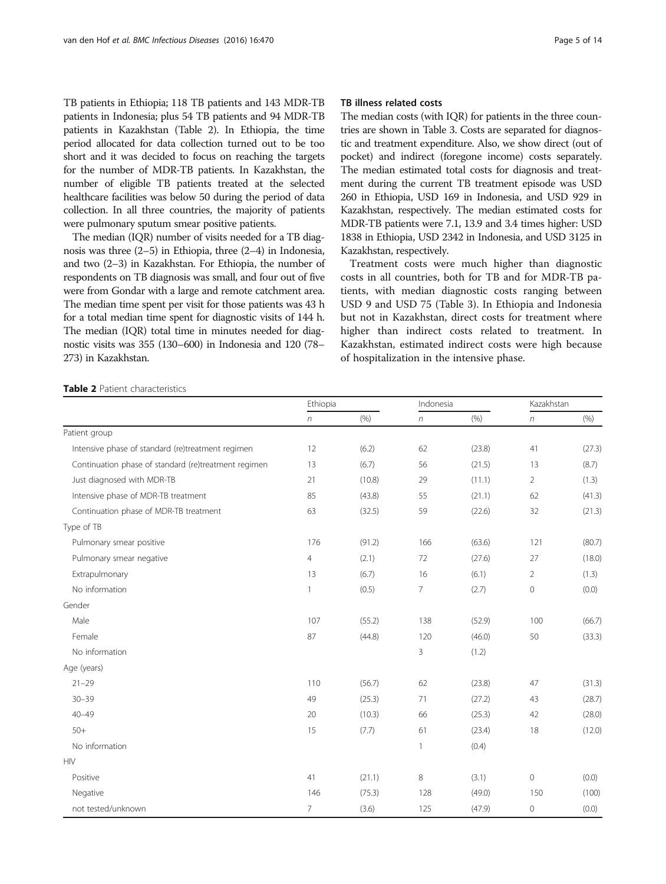TB patients in Ethiopia; 118 TB patients and 143 MDR-TB patients in Indonesia; plus 54 TB patients and 94 MDR-TB patients in Kazakhstan (Table 2). In Ethiopia, the time period allocated for data collection turned out to be too short and it was decided to focus on reaching the targets for the number of MDR-TB patients. In Kazakhstan, the number of eligible TB patients treated at the selected healthcare facilities was below 50 during the period of data collection. In all three countries, the majority of patients were pulmonary sputum smear positive patients.

The median (IQR) number of visits needed for a TB diagnosis was three (2–5) in Ethiopia, three (2–4) in Indonesia, and two (2–3) in Kazakhstan. For Ethiopia, the number of respondents on TB diagnosis was small, and four out of five were from Gondar with a large and remote catchment area. The median time spent per visit for those patients was 43 h for a total median time spent for diagnostic visits of 144 h. The median (IQR) total time in minutes needed for diagnostic visits was 355 (130–600) in Indonesia and 120 (78– 273) in Kazakhstan.

### TB illness related costs

The median costs (with IQR) for patients in the three countries are shown in Table [3.](#page-5-0) Costs are separated for diagnostic and treatment expenditure. Also, we show direct (out of pocket) and indirect (foregone income) costs separately. The median estimated total costs for diagnosis and treatment during the current TB treatment episode was USD 260 in Ethiopia, USD 169 in Indonesia, and USD 929 in Kazakhstan, respectively. The median estimated costs for MDR-TB patients were 7.1, 13.9 and 3.4 times higher: USD 1838 in Ethiopia, USD 2342 in Indonesia, and USD 3125 in Kazakhstan, respectively.

Treatment costs were much higher than diagnostic costs in all countries, both for TB and for MDR-TB patients, with median diagnostic costs ranging between USD 9 and USD 75 (Table [3](#page-5-0)). In Ethiopia and Indonesia but not in Kazakhstan, direct costs for treatment where higher than indirect costs related to treatment. In Kazakhstan, estimated indirect costs were high because of hospitalization in the intensive phase.

## Table 2 Patient characteristics

|                                                      | Ethiopia       | Indonesia |              |        | Kazakhstan     |        |
|------------------------------------------------------|----------------|-----------|--------------|--------|----------------|--------|
|                                                      | $\sqrt{n}$     | (% )      | $\sqrt{n}$   | (% )   | $\sqrt{n}$     | (% )   |
| Patient group                                        |                |           |              |        |                |        |
| Intensive phase of standard (re)treatment regimen    | 12             | (6.2)     | 62           | (23.8) | 41             | (27.3) |
| Continuation phase of standard (re)treatment regimen | 13             | (6.7)     | 56           | (21.5) | 13             | (8.7)  |
| Just diagnosed with MDR-TB                           | 21             | (10.8)    | 29           | (11.1) | $\overline{2}$ | (1.3)  |
| Intensive phase of MDR-TB treatment                  | 85             | (43.8)    | 55           | (21.1) | 62             | (41.3) |
| Continuation phase of MDR-TB treatment               | 63             | (32.5)    | 59           | (22.6) | 32             | (21.3) |
| Type of TB                                           |                |           |              |        |                |        |
| Pulmonary smear positive                             | 176            | (91.2)    | 166          | (63.6) | 121            | (80.7) |
| Pulmonary smear negative                             | $\overline{4}$ | (2.1)     | 72           | (27.6) | 27             | (18.0) |
| Extrapulmonary                                       | 13             | (6.7)     | 16           | (6.1)  | $\overline{2}$ | (1.3)  |
| No information                                       | $\mathbf{1}$   | (0.5)     | 7            | (2.7)  | 0              | (0.0)  |
| Gender                                               |                |           |              |        |                |        |
| Male                                                 | 107            | (55.2)    | 138          | (52.9) | 100            | (66.7) |
| Female                                               | 87             | (44.8)    | 120          | (46.0) | 50             | (33.3) |
| No information                                       |                |           | 3            | (1.2)  |                |        |
| Age (years)                                          |                |           |              |        |                |        |
| $21 - 29$                                            | 110            | (56.7)    | 62           | (23.8) | 47             | (31.3) |
| $30 - 39$                                            | 49             | (25.3)    | 71           | (27.2) | 43             | (28.7) |
| $40 - 49$                                            | 20             | (10.3)    | 66           | (25.3) | 42             | (28.0) |
| $50+$                                                | 15             | (7.7)     | 61           | (23.4) | 18             | (12.0) |
| No information                                       |                |           | $\mathbf{1}$ | (0.4)  |                |        |
| <b>HIV</b>                                           |                |           |              |        |                |        |
| Positive                                             | 41             | (21.1)    | 8            | (3.1)  | 0              | (0.0)  |
| Negative                                             | 146            | (75.3)    | 128          | (49.0) | 150            | (100)  |
| not tested/unknown                                   | 7              | (3.6)     | 125          | (47.9) | 0              | (0.0)  |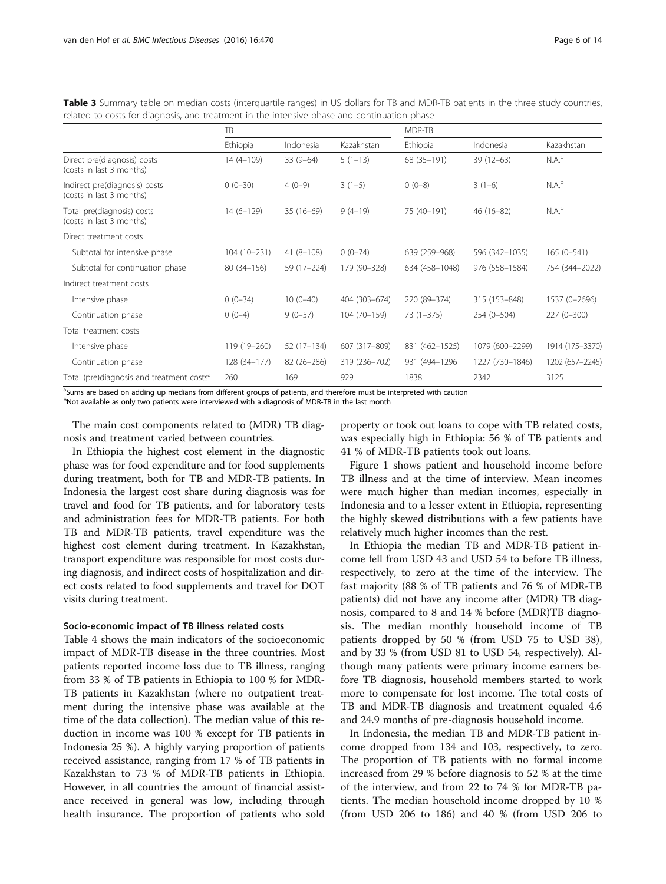|                                                           | TB             |             |               | MDR-TB         |                 |                   |
|-----------------------------------------------------------|----------------|-------------|---------------|----------------|-----------------|-------------------|
|                                                           | Ethiopia       | Indonesia   | Kazakhstan    | Ethiopia       | Indonesia       | Kazakhstan        |
| Direct pre(diagnosis) costs<br>(costs in last 3 months)   | $14(4 - 109)$  | $33(9-64)$  | $5(1-13)$     | 68 (35-191)    | $39(12-63)$     | N.A. <sup>b</sup> |
| Indirect pre(diagnosis) costs<br>(costs in last 3 months) | $0(0-30)$      | $4(0-9)$    | $3(1-5)$      | $0(0-8)$       | $3(1-6)$        | NA <sup>b</sup>   |
| Total pre(diagnosis) costs<br>(costs in last 3 months)    | $14(6 - 129)$  | $35(16-69)$ | $9(4-19)$     | 75 (40-191)    | $46(16-82)$     | N.A. <sup>b</sup> |
| Direct treatment costs                                    |                |             |               |                |                 |                   |
| Subtotal for intensive phase                              | 104 (10-231)   | $41(8-108)$ | $0(0-74)$     | 639 (259-968)  | 596 (342-1035)  | $165(0-541)$      |
| Subtotal for continuation phase                           | $80(34 - 156)$ | 59 (17-224) | 179 (90-328)  | 634 (458-1048) | 976 (558-1584)  | 754 (344-2022)    |
| Indirect treatment costs                                  |                |             |               |                |                 |                   |
| Intensive phase                                           | $0(0-34)$      | $10(0-40)$  | 404 (303-674) | 220 (89-374)   | 315 (153-848)   | 1537 (0-2696)     |
| Continuation phase                                        | $0(0-4)$       | $9(0-57)$   | 104 (70-159)  | $73(1 - 375)$  | 254 (0-504)     | 227 (0-300)       |
| Total treatment costs                                     |                |             |               |                |                 |                   |
| Intensive phase                                           | 119 (19-260)   | 52 (17-134) | 607 (317-809) | 831 (462-1525) | 1079 (600-2299) | 1914 (175-3370)   |
| Continuation phase                                        | 128 (34-177)   | 82 (26-286) | 319 (236-702) | 931 (494-1296) | 1227 (730-1846) | 1202 (657-2245)   |
| Total (pre)diagnosis and treatment costs <sup>a</sup>     | 260            | 169         | 929           | 1838           | 2342            | 3125              |

<span id="page-5-0"></span>Table 3 Summary table on median costs (interquartile ranges) in US dollars for TB and MDR-TB patients in the three study countries, related to costs for diagnosis, and treatment in the intensive phase and continuation phase

<sup>a</sup>Sums are based on adding up medians from different groups of patients, and therefore must be interpreted with caution <sup>b</sup>Not available as only two patients were interviewed with a diagnosis of MDR-TB in the last month

The main cost components related to (MDR) TB diagnosis and treatment varied between countries.

In Ethiopia the highest cost element in the diagnostic phase was for food expenditure and for food supplements during treatment, both for TB and MDR-TB patients. In Indonesia the largest cost share during diagnosis was for travel and food for TB patients, and for laboratory tests and administration fees for MDR-TB patients. For both TB and MDR-TB patients, travel expenditure was the highest cost element during treatment. In Kazakhstan, transport expenditure was responsible for most costs during diagnosis, and indirect costs of hospitalization and direct costs related to food supplements and travel for DOT visits during treatment.

## Socio-economic impact of TB illness related costs

Table [4](#page-6-0) shows the main indicators of the socioeconomic impact of MDR-TB disease in the three countries. Most patients reported income loss due to TB illness, ranging from 33 % of TB patients in Ethiopia to 100 % for MDR-TB patients in Kazakhstan (where no outpatient treatment during the intensive phase was available at the time of the data collection). The median value of this reduction in income was 100 % except for TB patients in Indonesia 25 %). A highly varying proportion of patients received assistance, ranging from 17 % of TB patients in Kazakhstan to 73 % of MDR-TB patients in Ethiopia. However, in all countries the amount of financial assistance received in general was low, including through health insurance. The proportion of patients who sold

property or took out loans to cope with TB related costs, was especially high in Ethiopia: 56 % of TB patients and 41 % of MDR-TB patients took out loans.

Figure [1](#page-7-0) shows patient and household income before TB illness and at the time of interview. Mean incomes were much higher than median incomes, especially in Indonesia and to a lesser extent in Ethiopia, representing the highly skewed distributions with a few patients have relatively much higher incomes than the rest.

In Ethiopia the median TB and MDR-TB patient income fell from USD 43 and USD 54 to before TB illness, respectively, to zero at the time of the interview. The fast majority (88 % of TB patients and 76 % of MDR-TB patients) did not have any income after (MDR) TB diagnosis, compared to 8 and 14 % before (MDR)TB diagnosis. The median monthly household income of TB patients dropped by 50 % (from USD 75 to USD 38), and by 33 % (from USD 81 to USD 54, respectively). Although many patients were primary income earners before TB diagnosis, household members started to work more to compensate for lost income. The total costs of TB and MDR-TB diagnosis and treatment equaled 4.6 and 24.9 months of pre-diagnosis household income.

In Indonesia, the median TB and MDR-TB patient income dropped from 134 and 103, respectively, to zero. The proportion of TB patients with no formal income increased from 29 % before diagnosis to 52 % at the time of the interview, and from 22 to 74 % for MDR-TB patients. The median household income dropped by 10 % (from USD 206 to 186) and 40 % (from USD 206 to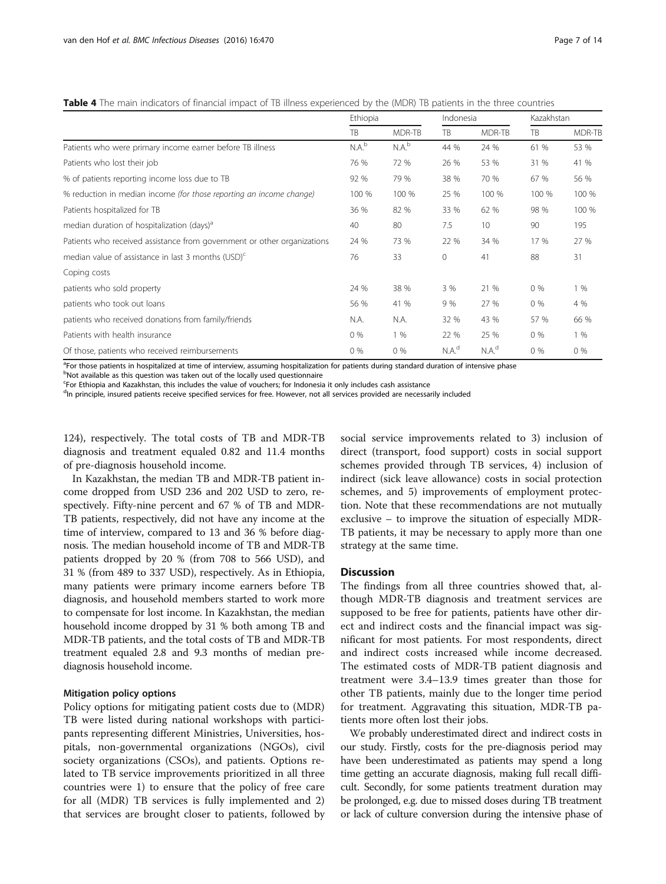<span id="page-6-0"></span>Table 4 The main indicators of financial impact of TB illness experienced by the (MDR) TB patients in the three countries

|                                                                         | Ethiopia        |                   | Indonesia         |                   | Kazakhstan |        |
|-------------------------------------------------------------------------|-----------------|-------------------|-------------------|-------------------|------------|--------|
|                                                                         | TB              | MDR-TB            | TB                | MDR-TB            | TB         | MDR-TB |
| Patients who were primary income earner before TB illness               | NA <sup>b</sup> | N.A. <sup>b</sup> | 44 %              | 24 %              | 61 %       | 53 %   |
| Patients who lost their job                                             | 76 %            | 72 %              | 26 %              | 53 %              | 31 %       | 41 %   |
| % of patients reporting income loss due to TB                           | 92 %            | 79 %              | 38 %              | 70 %              | 67 %       | 56 %   |
| % reduction in median income (for those reporting an income change)     | 100 %           | 100 %             | 25 %              | 100 %             | 100 %      | 100 %  |
| Patients hospitalized for TB                                            | 36 %            | 82 %              | 33 %              | 62 %              | 98 %       | 100 %  |
| median duration of hospitalization (days) <sup>a</sup>                  | 40              | 80                | 7.5               | 10                | 90         | 195    |
| Patients who received assistance from government or other organizations | 24 %            | 73 %              | 22 %              | 34 %              | 17 %       | 27 %   |
| median value of assistance in last 3 months (USD) <sup>c</sup>          | 76              | 33                | 0                 | 41                | 88         | 31     |
| Coping costs                                                            |                 |                   |                   |                   |            |        |
| patients who sold property                                              | 24 %            | 38 %              | 3 %               | 21 %              | 0%         | 1%     |
| patients who took out loans                                             | 56 %            | 41 %              | 9 %               | 27 %              | 0%         | 4 %    |
| patients who received donations from family/friends                     | N.A.            | N.A.              | 32 %              | 43 %              | 57 %       | 66 %   |
| Patients with health insurance                                          | $0\%$           | 1 %               | 22 %              | 25 %              | $0\%$      | 1 %    |
| Of those, patients who received reimbursements                          | $0\%$           | $0\%$             | N.A. <sup>d</sup> | N.A. <sup>d</sup> | $0\%$      | $0\%$  |

<sup>a</sup>For those patients in hospitalized at time of interview, assuming hospitalization for patients during standard duration of intensive phase

<sup>b</sup>Not available as this question was taken out of the locally used questionnaire

<sup>c</sup>For Ethiopia and Kazakhstan, this includes the value of vouchers; for Indonesia it only includes cash assistance

<sup>d</sup>In principle, insured patients receive specified services for free. However, not all services provided are necessarily included

124), respectively. The total costs of TB and MDR-TB diagnosis and treatment equaled 0.82 and 11.4 months of pre-diagnosis household income.

In Kazakhstan, the median TB and MDR-TB patient income dropped from USD 236 and 202 USD to zero, respectively. Fifty-nine percent and 67 % of TB and MDR-TB patients, respectively, did not have any income at the time of interview, compared to 13 and 36 % before diagnosis. The median household income of TB and MDR-TB patients dropped by 20 % (from 708 to 566 USD), and 31 % (from 489 to 337 USD), respectively. As in Ethiopia, many patients were primary income earners before TB diagnosis, and household members started to work more to compensate for lost income. In Kazakhstan, the median household income dropped by 31 % both among TB and MDR-TB patients, and the total costs of TB and MDR-TB treatment equaled 2.8 and 9.3 months of median prediagnosis household income.

#### Mitigation policy options

Policy options for mitigating patient costs due to (MDR) TB were listed during national workshops with participants representing different Ministries, Universities, hospitals, non-governmental organizations (NGOs), civil society organizations (CSOs), and patients. Options related to TB service improvements prioritized in all three countries were 1) to ensure that the policy of free care for all (MDR) TB services is fully implemented and 2) that services are brought closer to patients, followed by

social service improvements related to 3) inclusion of direct (transport, food support) costs in social support schemes provided through TB services, 4) inclusion of indirect (sick leave allowance) costs in social protection schemes, and 5) improvements of employment protection. Note that these recommendations are not mutually exclusive – to improve the situation of especially MDR-TB patients, it may be necessary to apply more than one strategy at the same time.

# **Discussion**

The findings from all three countries showed that, although MDR-TB diagnosis and treatment services are supposed to be free for patients, patients have other direct and indirect costs and the financial impact was significant for most patients. For most respondents, direct and indirect costs increased while income decreased. The estimated costs of MDR-TB patient diagnosis and treatment were 3.4–13.9 times greater than those for other TB patients, mainly due to the longer time period for treatment. Aggravating this situation, MDR-TB patients more often lost their jobs.

We probably underestimated direct and indirect costs in our study. Firstly, costs for the pre-diagnosis period may have been underestimated as patients may spend a long time getting an accurate diagnosis, making full recall difficult. Secondly, for some patients treatment duration may be prolonged, e.g. due to missed doses during TB treatment or lack of culture conversion during the intensive phase of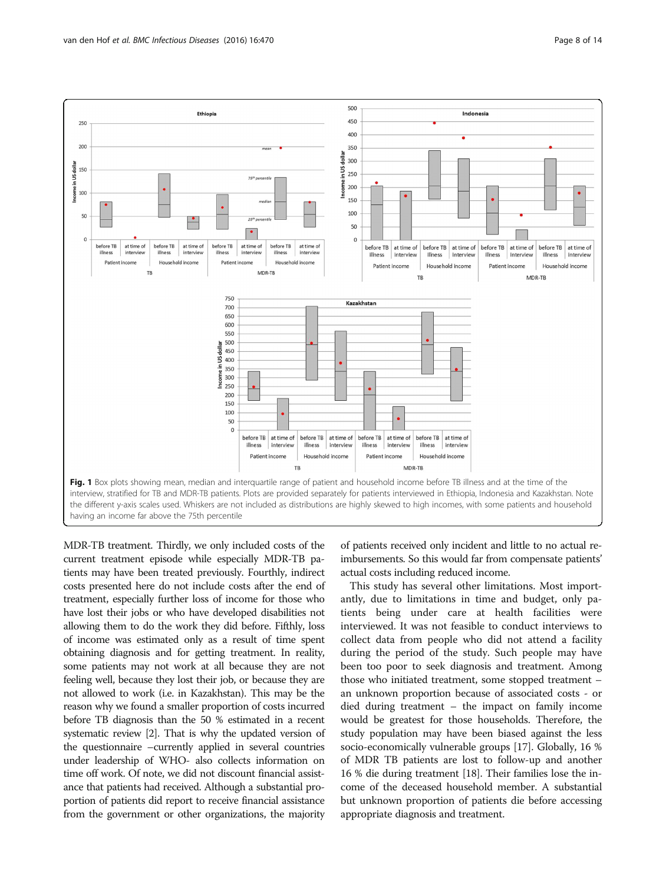

<span id="page-7-0"></span>

MDR-TB treatment. Thirdly, we only included costs of the current treatment episode while especially MDR-TB patients may have been treated previously. Fourthly, indirect costs presented here do not include costs after the end of treatment, especially further loss of income for those who have lost their jobs or who have developed disabilities not allowing them to do the work they did before. Fifthly, loss of income was estimated only as a result of time spent obtaining diagnosis and for getting treatment. In reality, some patients may not work at all because they are not feeling well, because they lost their job, or because they are not allowed to work (i.e. in Kazakhstan). This may be the reason why we found a smaller proportion of costs incurred before TB diagnosis than the 50 % estimated in a recent systematic review [\[2\]](#page-12-0). That is why the updated version of the questionnaire –currently applied in several countries under leadership of WHO- also collects information on time off work. Of note, we did not discount financial assistance that patients had received. Although a substantial proportion of patients did report to receive financial assistance from the government or other organizations, the majority of patients received only incident and little to no actual reimbursements. So this would far from compensate patients' actual costs including reduced income.

This study has several other limitations. Most importantly, due to limitations in time and budget, only patients being under care at health facilities were interviewed. It was not feasible to conduct interviews to collect data from people who did not attend a facility during the period of the study. Such people may have been too poor to seek diagnosis and treatment. Among those who initiated treatment, some stopped treatment – an unknown proportion because of associated costs - or died during treatment – the impact on family income would be greatest for those households. Therefore, the study population may have been biased against the less socio-economically vulnerable groups [[17](#page-12-0)]. Globally, 16 % of MDR TB patients are lost to follow-up and another 16 % die during treatment [[18](#page-12-0)]. Their families lose the income of the deceased household member. A substantial but unknown proportion of patients die before accessing appropriate diagnosis and treatment.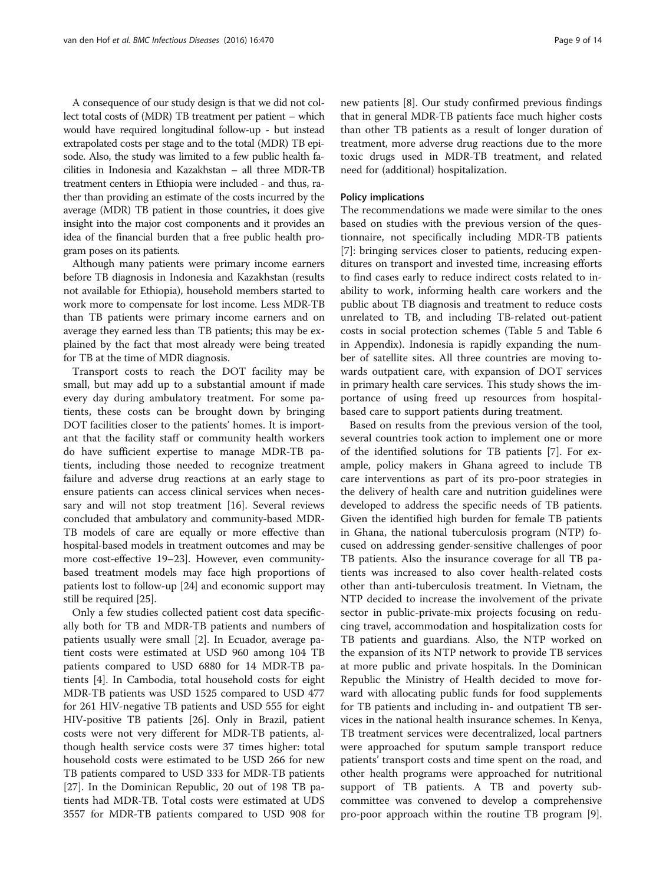A consequence of our study design is that we did not collect total costs of (MDR) TB treatment per patient – which would have required longitudinal follow-up - but instead extrapolated costs per stage and to the total (MDR) TB episode. Also, the study was limited to a few public health facilities in Indonesia and Kazakhstan – all three MDR-TB treatment centers in Ethiopia were included - and thus, rather than providing an estimate of the costs incurred by the average (MDR) TB patient in those countries, it does give insight into the major cost components and it provides an idea of the financial burden that a free public health program poses on its patients.

Although many patients were primary income earners before TB diagnosis in Indonesia and Kazakhstan (results not available for Ethiopia), household members started to work more to compensate for lost income. Less MDR-TB than TB patients were primary income earners and on average they earned less than TB patients; this may be explained by the fact that most already were being treated for TB at the time of MDR diagnosis.

Transport costs to reach the DOT facility may be small, but may add up to a substantial amount if made every day during ambulatory treatment. For some patients, these costs can be brought down by bringing DOT facilities closer to the patients' homes. It is important that the facility staff or community health workers do have sufficient expertise to manage MDR-TB patients, including those needed to recognize treatment failure and adverse drug reactions at an early stage to ensure patients can access clinical services when necessary and will not stop treatment [\[16](#page-12-0)]. Several reviews concluded that ambulatory and community-based MDR-TB models of care are equally or more effective than hospital-based models in treatment outcomes and may be more cost-effective [19](#page-12-0)–[23](#page-13-0)]. However, even communitybased treatment models may face high proportions of patients lost to follow-up [\[24\]](#page-13-0) and economic support may still be required [\[25\]](#page-13-0).

Only a few studies collected patient cost data specifically both for TB and MDR-TB patients and numbers of patients usually were small [\[2\]](#page-12-0). In Ecuador, average patient costs were estimated at USD 960 among 104 TB patients compared to USD 6880 for 14 MDR-TB patients [[4](#page-12-0)]. In Cambodia, total household costs for eight MDR-TB patients was USD 1525 compared to USD 477 for 261 HIV-negative TB patients and USD 555 for eight HIV-positive TB patients [\[26\]](#page-13-0). Only in Brazil, patient costs were not very different for MDR-TB patients, although health service costs were 37 times higher: total household costs were estimated to be USD 266 for new TB patients compared to USD 333 for MDR-TB patients [[27\]](#page-13-0). In the Dominican Republic, 20 out of 198 TB patients had MDR-TB. Total costs were estimated at UDS 3557 for MDR-TB patients compared to USD 908 for new patients [[8\]](#page-12-0). Our study confirmed previous findings that in general MDR-TB patients face much higher costs than other TB patients as a result of longer duration of treatment, more adverse drug reactions due to the more toxic drugs used in MDR-TB treatment, and related need for (additional) hospitalization.

#### Policy implications

The recommendations we made were similar to the ones based on studies with the previous version of the questionnaire, not specifically including MDR-TB patients [[7\]](#page-12-0): bringing services closer to patients, reducing expenditures on transport and invested time, increasing efforts to find cases early to reduce indirect costs related to inability to work, informing health care workers and the public about TB diagnosis and treatment to reduce costs unrelated to TB, and including TB-related out-patient costs in social protection schemes (Table [5](#page-9-0) and Table 6 in [Appendix\)](#page-10-0). Indonesia is rapidly expanding the number of satellite sites. All three countries are moving towards outpatient care, with expansion of DOT services in primary health care services. This study shows the importance of using freed up resources from hospitalbased care to support patients during treatment.

Based on results from the previous version of the tool, several countries took action to implement one or more of the identified solutions for TB patients [\[7](#page-12-0)]. For example, policy makers in Ghana agreed to include TB care interventions as part of its pro-poor strategies in the delivery of health care and nutrition guidelines were developed to address the specific needs of TB patients. Given the identified high burden for female TB patients in Ghana, the national tuberculosis program (NTP) focused on addressing gender-sensitive challenges of poor TB patients. Also the insurance coverage for all TB patients was increased to also cover health-related costs other than anti-tuberculosis treatment. In Vietnam, the NTP decided to increase the involvement of the private sector in public-private-mix projects focusing on reducing travel, accommodation and hospitalization costs for TB patients and guardians. Also, the NTP worked on the expansion of its NTP network to provide TB services at more public and private hospitals. In the Dominican Republic the Ministry of Health decided to move forward with allocating public funds for food supplements for TB patients and including in- and outpatient TB services in the national health insurance schemes. In Kenya, TB treatment services were decentralized, local partners were approached for sputum sample transport reduce patients' transport costs and time spent on the road, and other health programs were approached for nutritional support of TB patients. A TB and poverty subcommittee was convened to develop a comprehensive pro-poor approach within the routine TB program [\[9](#page-12-0)].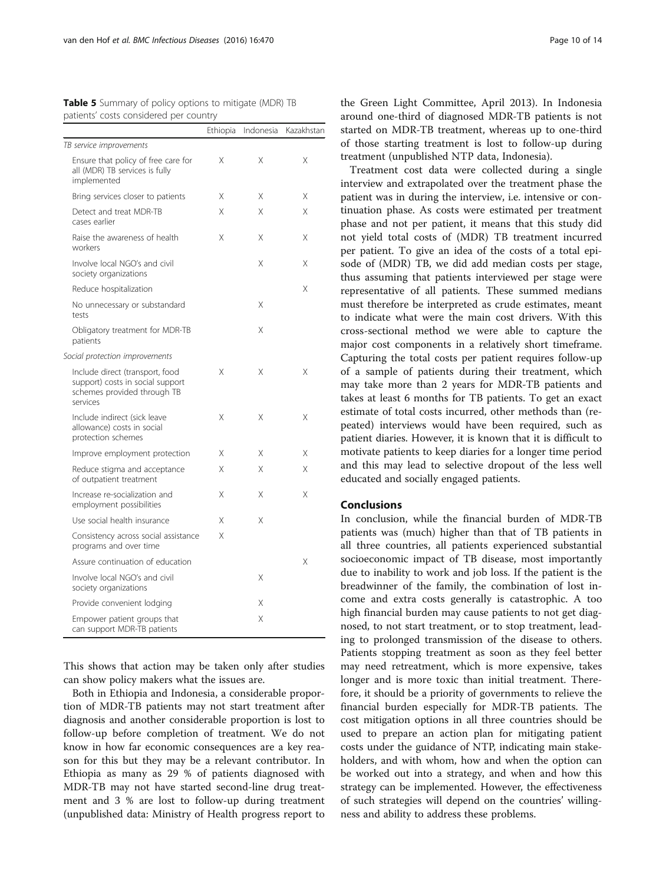<span id="page-9-0"></span>

| <b>Table 5</b> Summary of policy options to mitigate (MDR) TB |  |  |  |
|---------------------------------------------------------------|--|--|--|
| patients' costs considered per country                        |  |  |  |

|                                                                                                                | Ethiopia | Indonesia | Kazakhstan |
|----------------------------------------------------------------------------------------------------------------|----------|-----------|------------|
| TB service improvements                                                                                        |          |           |            |
| Ensure that policy of free care for<br>all (MDR) TB services is fully<br>implemented                           | Χ        | Χ         | X          |
| Bring services closer to patients                                                                              | Χ        | Χ         | X          |
| Detect and treat MDR-TB<br>cases earlier                                                                       | X        | Χ         | Χ          |
| Raise the awareness of health<br>workers                                                                       | X        | Χ         | X          |
| Involve local NGO's and civil<br>society organizations                                                         |          | Χ         | Χ          |
| Reduce hospitalization                                                                                         |          |           | Χ          |
| No unnecessary or substandard<br>tests                                                                         |          | X         |            |
| Obligatory treatment for MDR-TB<br>patients                                                                    |          | X         |            |
| Social protection improvements                                                                                 |          |           |            |
| Include direct (transport, food<br>support) costs in social support<br>schemes provided through TB<br>services | Χ        | Χ         | Χ          |
| Include indirect (sick leave<br>allowance) costs in social<br>protection schemes                               | Χ        | Χ         | Χ          |
| Improve employment protection                                                                                  | Χ        | Χ         | Χ          |
| Reduce stigma and acceptance<br>of outpatient treatment                                                        | Χ        | Χ         | Χ          |
| Increase re-socialization and<br>employment possibilities                                                      | Χ        | Χ         | X          |
| Use social health insurance                                                                                    | X        | X         |            |
| Consistency across social assistance<br>programs and over time                                                 | Χ        |           |            |
| Assure continuation of education                                                                               |          |           | X          |
| Involve local NGO's and civil<br>society organizations                                                         |          | X         |            |
| Provide convenient lodging                                                                                     |          | Χ         |            |
| Empower patient groups that<br>can support MDR-TB patients                                                     |          | Χ         |            |

This shows that action may be taken only after studies can show policy makers what the issues are.

Both in Ethiopia and Indonesia, a considerable proportion of MDR-TB patients may not start treatment after diagnosis and another considerable proportion is lost to follow-up before completion of treatment. We do not know in how far economic consequences are a key reason for this but they may be a relevant contributor. In Ethiopia as many as 29 % of patients diagnosed with MDR-TB may not have started second-line drug treatment and 3 % are lost to follow-up during treatment (unpublished data: Ministry of Health progress report to

the Green Light Committee, April 2013). In Indonesia around one-third of diagnosed MDR-TB patients is not started on MDR-TB treatment, whereas up to one-third of those starting treatment is lost to follow-up during treatment (unpublished NTP data, Indonesia).

Treatment cost data were collected during a single interview and extrapolated over the treatment phase the patient was in during the interview, i.e. intensive or continuation phase. As costs were estimated per treatment phase and not per patient, it means that this study did not yield total costs of (MDR) TB treatment incurred per patient. To give an idea of the costs of a total episode of (MDR) TB, we did add median costs per stage, thus assuming that patients interviewed per stage were representative of all patients. These summed medians must therefore be interpreted as crude estimates, meant to indicate what were the main cost drivers. With this cross-sectional method we were able to capture the major cost components in a relatively short timeframe. Capturing the total costs per patient requires follow-up of a sample of patients during their treatment, which may take more than 2 years for MDR-TB patients and takes at least 6 months for TB patients. To get an exact estimate of total costs incurred, other methods than (repeated) interviews would have been required, such as patient diaries. However, it is known that it is difficult to motivate patients to keep diaries for a longer time period and this may lead to selective dropout of the less well educated and socially engaged patients.

# Conclusions

In conclusion, while the financial burden of MDR-TB patients was (much) higher than that of TB patients in all three countries, all patients experienced substantial socioeconomic impact of TB disease, most importantly due to inability to work and job loss. If the patient is the breadwinner of the family, the combination of lost income and extra costs generally is catastrophic. A too high financial burden may cause patients to not get diagnosed, to not start treatment, or to stop treatment, leading to prolonged transmission of the disease to others. Patients stopping treatment as soon as they feel better may need retreatment, which is more expensive, takes longer and is more toxic than initial treatment. Therefore, it should be a priority of governments to relieve the financial burden especially for MDR-TB patients. The cost mitigation options in all three countries should be used to prepare an action plan for mitigating patient costs under the guidance of NTP, indicating main stakeholders, and with whom, how and when the option can be worked out into a strategy, and when and how this strategy can be implemented. However, the effectiveness of such strategies will depend on the countries' willingness and ability to address these problems.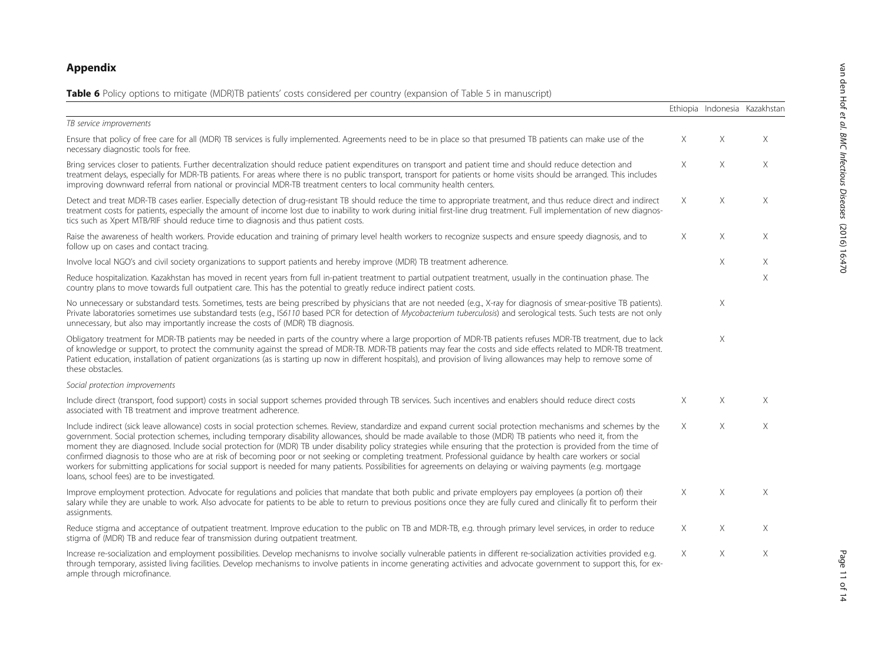# <span id="page-10-0"></span>Appendix

# Table 6 Policy options to mitigate (MDR)TB patients' costs considered per country (expansion of Table [5](#page-9-0) in manuscript)

|                                                                                                                                                                                                                                                                                                                                                                                                                                                                                                                                                                                                                                                                                                                                                                                                                                                                                             |          |          | Ethiopia Indonesia Kazakhstan |
|---------------------------------------------------------------------------------------------------------------------------------------------------------------------------------------------------------------------------------------------------------------------------------------------------------------------------------------------------------------------------------------------------------------------------------------------------------------------------------------------------------------------------------------------------------------------------------------------------------------------------------------------------------------------------------------------------------------------------------------------------------------------------------------------------------------------------------------------------------------------------------------------|----------|----------|-------------------------------|
| TB service improvements                                                                                                                                                                                                                                                                                                                                                                                                                                                                                                                                                                                                                                                                                                                                                                                                                                                                     |          |          |                               |
| Ensure that policy of free care for all (MDR) TB services is fully implemented. Agreements need to be in place so that presumed TB patients can make use of the<br>necessary diagnostic tools for free.                                                                                                                                                                                                                                                                                                                                                                                                                                                                                                                                                                                                                                                                                     | Χ        | X        | X                             |
| Bring services closer to patients. Further decentralization should reduce patient expenditures on transport and patient time and should reduce detection and<br>treatment delays, especially for MDR-TB patients. For areas where there is no public transport, transport for patients or home visits should be arranged. This includes<br>improving downward referral from national or provincial MDR-TB treatment centers to local community health centers.                                                                                                                                                                                                                                                                                                                                                                                                                              | $\times$ | $\times$ | X                             |
| Detect and treat MDR-TB cases earlier. Especially detection of drug-resistant TB should reduce the time to appropriate treatment, and thus reduce direct and indirect<br>treatment costs for patients, especially the amount of income lost due to inability to work during initial first-line drug treatment. Full implementation of new diagnos-<br>tics such as Xpert MTB/RIF should reduce time to diagnosis and thus patient costs.                                                                                                                                                                                                                                                                                                                                                                                                                                                    | $\times$ | $\times$ | X                             |
| Raise the awareness of health workers. Provide education and training of primary level health workers to recognize suspects and ensure speedy diagnosis, and to<br>follow up on cases and contact tracing.                                                                                                                                                                                                                                                                                                                                                                                                                                                                                                                                                                                                                                                                                  | $\times$ | $\times$ | X                             |
| Involve local NGO's and civil society organizations to support patients and hereby improve (MDR) TB treatment adherence.                                                                                                                                                                                                                                                                                                                                                                                                                                                                                                                                                                                                                                                                                                                                                                    |          | $\times$ | X                             |
| Reduce hospitalization. Kazakhstan has moved in recent years from full in-patient treatment to partial outpatient treatment, usually in the continuation phase. The<br>country plans to move towards full outpatient care. This has the potential to greatly reduce indirect patient costs.                                                                                                                                                                                                                                                                                                                                                                                                                                                                                                                                                                                                 |          |          | X                             |
| No unnecessary or substandard tests. Sometimes, tests are being prescribed by physicians that are not needed (e.g., X-ray for diagnosis of smear-positive TB patients).<br>Private laboratories sometimes use substandard tests (e.g., IS6110 based PCR for detection of Mycobacterium tuberculosis) and serological tests. Such tests are not only<br>unnecessary, but also may importantly increase the costs of (MDR) TB diagnosis.                                                                                                                                                                                                                                                                                                                                                                                                                                                      |          | $\times$ |                               |
| Obligatory treatment for MDR-TB patients may be needed in parts of the country where a large proportion of MDR-TB patients refuses MDR-TB treatment, due to lack<br>of knowledge or support, to protect the community against the spread of MDR-TB. MDR-TB patients may fear the costs and side effects related to MDR-TB treatment.<br>Patient education, installation of patient organizations (as is starting up now in different hospitals), and provision of living allowances may help to remove some of<br>these obstacles.                                                                                                                                                                                                                                                                                                                                                          |          | $\times$ |                               |
| Social protection improvements                                                                                                                                                                                                                                                                                                                                                                                                                                                                                                                                                                                                                                                                                                                                                                                                                                                              |          |          |                               |
| Include direct (transport, food support) costs in social support schemes provided through TB services. Such incentives and enablers should reduce direct costs<br>associated with TB treatment and improve treatment adherence.                                                                                                                                                                                                                                                                                                                                                                                                                                                                                                                                                                                                                                                             | $\times$ | $\times$ | $\times$                      |
| Include indirect (sick leave allowance) costs in social protection schemes. Review, standardize and expand current social protection mechanisms and schemes by the<br>government. Social protection schemes, including temporary disability allowances, should be made available to those (MDR) TB patients who need it, from the<br>moment they are diagnosed. Include social protection for (MDR) TB under disability policy strategies while ensuring that the protection is provided from the time of<br>confirmed diagnosis to those who are at risk of becoming poor or not seeking or completing treatment. Professional quidance by health care workers or social<br>workers for submitting applications for social support is needed for many patients. Possibilities for agreements on delaying or waiving payments (e.g. mortgage<br>loans, school fees) are to be investigated. | $\times$ | $\times$ | X                             |
| Improve employment protection. Advocate for regulations and policies that mandate that both public and private employers pay employees (a portion of) their<br>salary while they are unable to work. Also advocate for patients to be able to return to previous positions once they are fully cured and clinically fit to perform their<br>assignments.                                                                                                                                                                                                                                                                                                                                                                                                                                                                                                                                    | $\times$ | $\times$ | $\times$                      |
| Reduce stigma and acceptance of outpatient treatment. Improve education to the public on TB and MDR-TB, e.g. through primary level services, in order to reduce<br>stigma of (MDR) TB and reduce fear of transmission during outpatient treatment.                                                                                                                                                                                                                                                                                                                                                                                                                                                                                                                                                                                                                                          | $\times$ | $\times$ | X                             |
| Increase re-socialization and employment possibilities. Develop mechanisms to involve socially vulnerable patients in different re-socialization activities provided e.g.<br>through temporary, assisted living facilities. Develop mechanisms to involve patients in income generating activities and advocate government to support this, for ex-<br>ample through microfinance.                                                                                                                                                                                                                                                                                                                                                                                                                                                                                                          | $\times$ | $\times$ | X                             |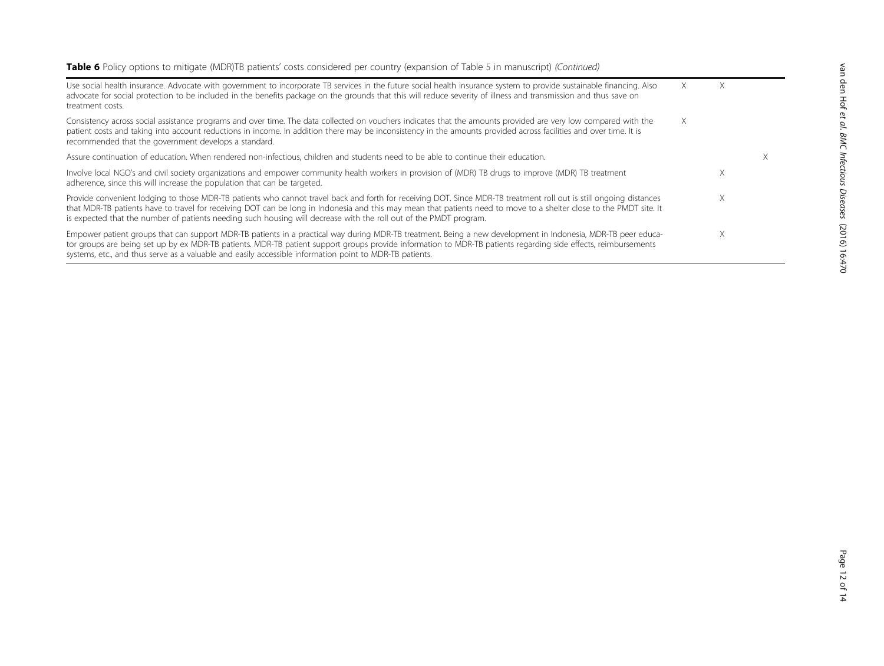#### Table 6 Policy options to mitigate (MDR)TB patients' costs considered per country (expansion of Table [5](#page-12-0) in manuscript) (Continued) Use social health insurance. Advocate with government to incorporate TB services in the future social health insurance system to provide sustainable financing. Also advocate for social protection to be included in the benefits package on the grounds that this will reduce severity of illness and transmission and thus save on treatment costs. X X Consistency across social assistance programs and over time. The data collected on vouchers indicates that the amounts provided are very low compared with the patient costs and taking into account reductions in income. In addition there may be inconsistency in the amounts provided across facilities and over time. It is recommended that the government develops a standard. X Assure continuation of education. When rendered non-infectious, children and students need to be able to continue their education. X Involve local NGO's and civil society organizations and empower community health workers in provision of (MDR) TB drugs to improve (MDR) TB treatment adherence, since this will increase the population that can be targeted. X Provide convenient lodging to those MDR-TB patients who cannot travel back and forth for receiving DOT. Since MDR-TB treatment roll out is still ongoing distances that MDR-TB patients have to travel for receiving DOT can be long in Indonesia and this may mean that patients need to move to a shelter close to the PMDT site. It is expected that the number of patients needing such housing will decrease with the roll out of the PMDT program. X Empower patient groups that can support MDR-TB patients in a practical way during MDR-TB treatment. Being a new development in Indonesia, MDR-TB peer educator groups are being set up by ex MDR-TB patients. MDR-TB patient support groups provide information to MDR-TB patients regarding side effects, reimbursements systems, etc., and thus serve as a valuable and easily accessible information point to MDR-TB patients. X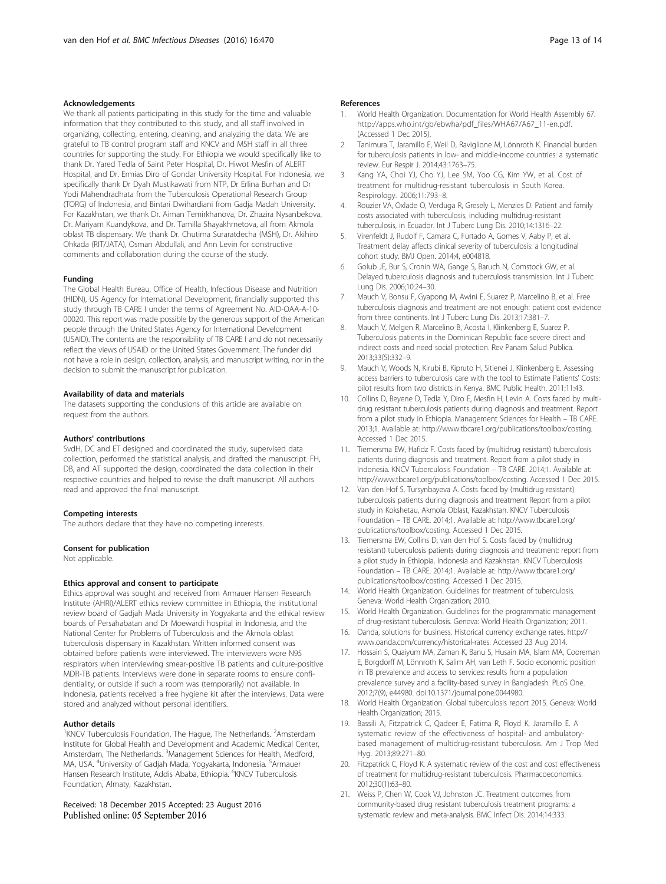#### <span id="page-12-0"></span>Acknowledgements

We thank all patients participating in this study for the time and valuable information that they contributed to this study, and all staff involved in organizing, collecting, entering, cleaning, and analyzing the data. We are grateful to TB control program staff and KNCV and MSH staff in all three countries for supporting the study. For Ethiopia we would specifically like to thank Dr. Yared Tedla of Saint Peter Hospital, Dr. Hiwot Mesfin of ALERT Hospital, and Dr. Ermias Diro of Gondar University Hospital. For Indonesia, we specifically thank Dr Dyah Mustikawati from NTP, Dr Erlina Burhan and Dr Yodi Mahendradhata from the Tuberculosis Operational Research Group (TORG) of Indonesia, and Bintari Dwihardiani from Gadja Madah University. For Kazakhstan, we thank Dr. Aiman Temirkhanova, Dr. Zhazira Nysanbekova, Dr. Mariyam Kuandykova, and Dr. Tamilla Shayakhmetova, all from Akmola oblast TB dispensary. We thank Dr. Chutima Suraratdecha (MSH), Dr. Akihiro Ohkada (RIT/JATA), Osman Abdullali, and Ann Levin for constructive comments and collaboration during the course of the study.

#### Funding

The Global Health Bureau, Office of Health, Infectious Disease and Nutrition (HIDN), US Agency for International Development, financially supported this study through TB CARE I under the terms of Agreement No. AID-OAA-A-10- 00020. This report was made possible by the generous support of the American people through the United States Agency for International Development (USAID). The contents are the responsibility of TB CARE I and do not necessarily reflect the views of USAID or the United States Government. The funder did not have a role in design, collection, analysis, and manuscript writing, nor in the decision to submit the manuscript for publication.

#### Availability of data and materials

The datasets supporting the conclusions of this article are available on request from the authors.

#### Authors' contributions

SvdH, DC and ET designed and coordinated the study, supervised data collection, performed the statistical analysis, and drafted the manuscript. FH, DB, and AT supported the design, coordinated the data collection in their respective countries and helped to revise the draft manuscript. All authors read and approved the final manuscript.

#### Competing interests

The authors declare that they have no competing interests.

#### Consent for publication

Not applicable.

#### Ethics approval and consent to participate

Ethics approval was sought and received from Armauer Hansen Research Institute (AHRI)/ALERT ethics review committee in Ethiopia, the institutional review board of Gadjah Mada University in Yogyakarta and the ethical review boards of Persahabatan and Dr Moewardi hospital in Indonesia, and the National Center for Problems of Tuberculosis and the Akmola oblast tuberculosis dispensary in Kazakhstan. Written informed consent was obtained before patients were interviewed. The interviewers wore N95 respirators when interviewing smear-positive TB patients and culture-positive MDR-TB patients. Interviews were done in separate rooms to ensure confidentiality, or outside if such a room was (temporarily) not available. In Indonesia, patients received a free hygiene kit after the interviews. Data were stored and analyzed without personal identifiers.

#### Author details

<sup>1</sup>KNCV Tuberculosis Foundation, The Hague, The Netherlands. <sup>2</sup>Amsterdam Institute for Global Health and Development and Academic Medical Center, Amsterdam, The Netherlands. <sup>3</sup>Management Sciences for Health, Medford, MA, USA. <sup>4</sup>University of Gadjah Mada, Yogyakarta, Indonesia. <sup>5</sup>Armauer Hansen Research Institute, Addis Ababa, Ethiopia. <sup>6</sup>KNCV Tuberculosis Foundation, Almaty, Kazakhstan.

#### Received: 18 December 2015 Accepted: 23 August 2016 Published online: 05 September 2016

#### References

- 1. World Health Organization. Documentation for World Health Assembly 67. [http://apps.who.int/gb/ebwha/pdf\\_files/WHA67/A67\\_11-en.pdf.](http://apps.who.int/gb/ebwha/pdf_files/WHA67/A67_11-en.pdf) (Accessed 1 Dec 2015).
- 2. Tanimura T, Jaramillo E, Weil D, Raviglione M, Lönnroth K. Financial burden for tuberculosis patients in low- and middle-income countries: a systematic review. Eur Respir J. 2014;43:1763–75.
- 3. Kang YA, Choi YJ, Cho YJ, Lee SM, Yoo CG, Kim YW, et al. Cost of treatment for multidrug-resistant tuberculosis in South Korea. Respirology. 2006;11:793–8.
- 4. Rouzier VA, Oxlade O, Verduga R, Gresely L, Menzies D. Patient and family costs associated with tuberculosis, including multidrug-resistant tuberculosis, in Ecuador. Int J Tuberc Lung Dis. 2010;14:1316–22.
- 5. Virenfeldt J, Rudolf F, Camara C, Furtado A, Gomes V, Aaby P, et al. Treatment delay affects clinical severity of tuberculosis: a longitudinal cohort study. BMJ Open. 2014;4, e004818.
- 6. Golub JE, Bur S, Cronin WA, Gange S, Baruch N, Comstock GW, et al. Delayed tuberculosis diagnosis and tuberculosis transmission. Int J Tuberc Lung Dis. 2006;10:24–30.
- 7. Mauch V, Bonsu F, Gyapong M, Awini E, Suarez P, Marcelino B, et al. Free tuberculosis diagnosis and treatment are not enough: patient cost evidence from three continents. Int J Tuberc Lung Dis. 2013;17:381–7.
- 8. Mauch V, Melgen R, Marcelino B, Acosta I, Klinkenberg E, Suarez P. Tuberculosis patients in the Dominican Republic face severe direct and indirect costs and need social protection. Rev Panam Salud Publica. 2013;33(5):332–9.
- 9. Mauch V, Woods N, Kirubi B, Kipruto H, Sitienei J, Klinkenberg E. Assessing access barriers to tuberculosis care with the tool to Estimate Patients' Costs: pilot results from two districts in Kenya. BMC Public Health. 2011;11:43.
- 10. Collins D, Beyene D, Tedla Y, Diro E, Mesfin H, Levin A. Costs faced by multidrug resistant tuberculosis patients during diagnosis and treatment. Report from a pilot study in Ethiopia. Management Sciences for Health – TB CARE. 2013;1. Available at: [http://www.tbcare1.org/publications/toolbox/costing.](http://www.tbcare1.org/publications/toolbox/costing) Accessed 1 Dec 2015.
- 11. Tiemersma EW, Hafidz F. Costs faced by (multidrug resistant) tuberculosis patients during diagnosis and treatment. Report from a pilot study in Indonesia. KNCV Tuberculosis Foundation – TB CARE. 2014;1. Available at: [http://www.tbcare1.org/publications/toolbox/costing.](http://www.tbcare1.org/publications/toolbox/costing) Accessed 1 Dec 2015.
- 12. Van den Hof S, Tursynbayeva A. Costs faced by (multidrug resistant) tuberculosis patients during diagnosis and treatment Report from a pilot study in Kokshetau, Akmola Oblast, Kazakhstan. KNCV Tuberculosis Foundation – TB CARE. 2014;1. Available at: [http://www.tbcare1.org/](http://www.tbcare1.org/publications/toolbox/costing) [publications/toolbox/costing.](http://www.tbcare1.org/publications/toolbox/costing) Accessed 1 Dec 2015.
- 13. Tiemersma EW, Collins D, van den Hof S. Costs faced by (multidrug resistant) tuberculosis patients during diagnosis and treatment: report from a pilot study in Ethiopia, Indonesia and Kazakhstan. KNCV Tuberculosis Foundation – TB CARE. 2014;1. Available at: [http://www.tbcare1.org/](http://www.tbcare1.org/publications/toolbox/costing) [publications/toolbox/costing.](http://www.tbcare1.org/publications/toolbox/costing) Accessed 1 Dec 2015.
- 14. World Health Organization. Guidelines for treatment of tuberculosis. Geneva: World Health Organization; 2010.
- 15. World Health Organization. Guidelines for the programmatic management of drug-resistant tuberculosis. Geneva: World Health Organization; 2011.
- 16. Oanda, solutions for business. Historical currency exchange rates. [http://](http://www.oanda.com/currency/historical-rates) [www.oanda.com/currency/historical-rates.](http://www.oanda.com/currency/historical-rates) Accessed 23 Aug 2014.
- 17. Hossain S, Quaiyum MA, Zaman K, Banu S, Husain MA, Islam MA, Cooreman E, Borgdorff M, Lönnroth K, Salim AH, van Leth F. Socio economic position in TB prevalence and access to services: results from a population prevalence survey and a facility-based survey in Bangladesh. PLoS One. 2012;7(9), e44980. doi:[10.1371/journal.pone.0044980](http://dx.doi.org/10.1371/journal.pone.0044980).
- 18. World Health Organization. Global tuberculosis report 2015. Geneva: World Health Organization; 2015.
- 19. Bassili A, Fitzpatrick C, Qadeer E, Fatima R, Floyd K, Jaramillo E. A systematic review of the effectiveness of hospital- and ambulatorybased management of multidrug-resistant tuberculosis. Am J Trop Med Hyg. 2013;89:271–80.
- 20. Fitzpatrick C, Floyd K. A systematic review of the cost and cost effectiveness of treatment for multidrug-resistant tuberculosis. Pharmacoeconomics. 2012;30(1):63–80.
- 21. Weiss P, Chen W, Cook VJ, Johnston JC. Treatment outcomes from community-based drug resistant tuberculosis treatment programs: a systematic review and meta-analysis. BMC Infect Dis. 2014;14:333.